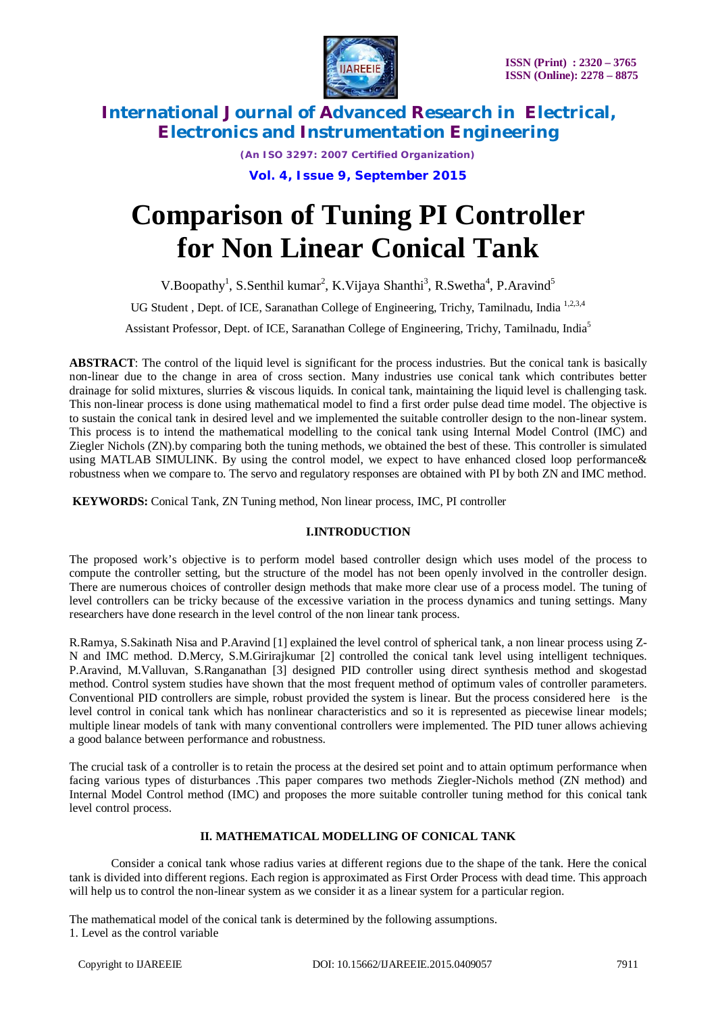

*(An ISO 3297: 2007 Certified Organization)* **Vol. 4, Issue 9, September 2015**

# **Comparison of Tuning PI Controller for Non Linear Conical Tank**

V.Boopathy<sup>1</sup>, S.Senthil kumar<sup>2</sup>, K.Vijaya Shanthi<sup>3</sup>, R.Swetha<sup>4</sup>, P.Aravind<sup>5</sup>

UG Student, Dept. of ICE, Saranathan College of Engineering, Trichy, Tamilnadu. India<sup>1,2,3,4</sup>

Assistant Professor, Dept. of ICE, Saranathan College of Engineering, Trichy, Tamilnadu, India<sup>5</sup>

**ABSTRACT**: The control of the liquid level is significant for the process industries. But the conical tank is basically non-linear due to the change in area of cross section. Many industries use conical tank which contributes better drainage for solid mixtures, slurries & viscous liquids. In conical tank, maintaining the liquid level is challenging task. This non-linear process is done using mathematical model to find a first order pulse dead time model. The objective is to sustain the conical tank in desired level and we implemented the suitable controller design to the non-linear system. This process is to intend the mathematical modelling to the conical tank using Internal Model Control (IMC) and Ziegler Nichols (ZN).by comparing both the tuning methods, we obtained the best of these. This controller is simulated using MATLAB SIMULINK. By using the control model, we expect to have enhanced closed loop performance& robustness when we compare to. The servo and regulatory responses are obtained with PI by both ZN and IMC method.

**KEYWORDS:** Conical Tank, ZN Tuning method, Non linear process, IMC, PI controller

### **I.INTRODUCTION**

The proposed work's objective is to perform model based controller design which uses model of the process to compute the controller setting, but the structure of the model has not been openly involved in the controller design. There are numerous choices of controller design methods that make more clear use of a process model. The tuning of level controllers can be tricky because of the excessive variation in the process dynamics and tuning settings. Many researchers have done research in the level control of the non linear tank process.

R.Ramya, S.Sakinath Nisa and P.Aravind [1] explained the level control of spherical tank, a non linear process using Z-N and IMC method. D.Mercy, S.M.Girirajkumar [2] controlled the conical tank level using intelligent techniques. P.Aravind, M.Valluvan, S.Ranganathan [3] designed PID controller using direct synthesis method and skogestad method. Control system studies have shown that the most frequent method of optimum vales of controller parameters. Conventional PID controllers are simple, robust provided the system is linear. But the process considered here is the level control in conical tank which has nonlinear characteristics and so it is represented as piecewise linear models; multiple linear models of tank with many conventional controllers were implemented. The PID tuner allows achieving a good balance between performance and robustness.

The crucial task of a controller is to retain the process at the desired set point and to attain optimum performance when facing various types of disturbances .This paper compares two methods Ziegler-Nichols method (ZN method) and Internal Model Control method (IMC) and proposes the more suitable controller tuning method for this conical tank level control process.

### **II. MATHEMATICAL MODELLING OF CONICAL TANK**

Consider a conical tank whose radius varies at different regions due to the shape of the tank. Here the conical tank is divided into different regions. Each region is approximated as First Order Process with dead time. This approach will help us to control the non-linear system as we consider it as a linear system for a particular region.

The mathematical model of the conical tank is determined by the following assumptions. 1. Level as the control variable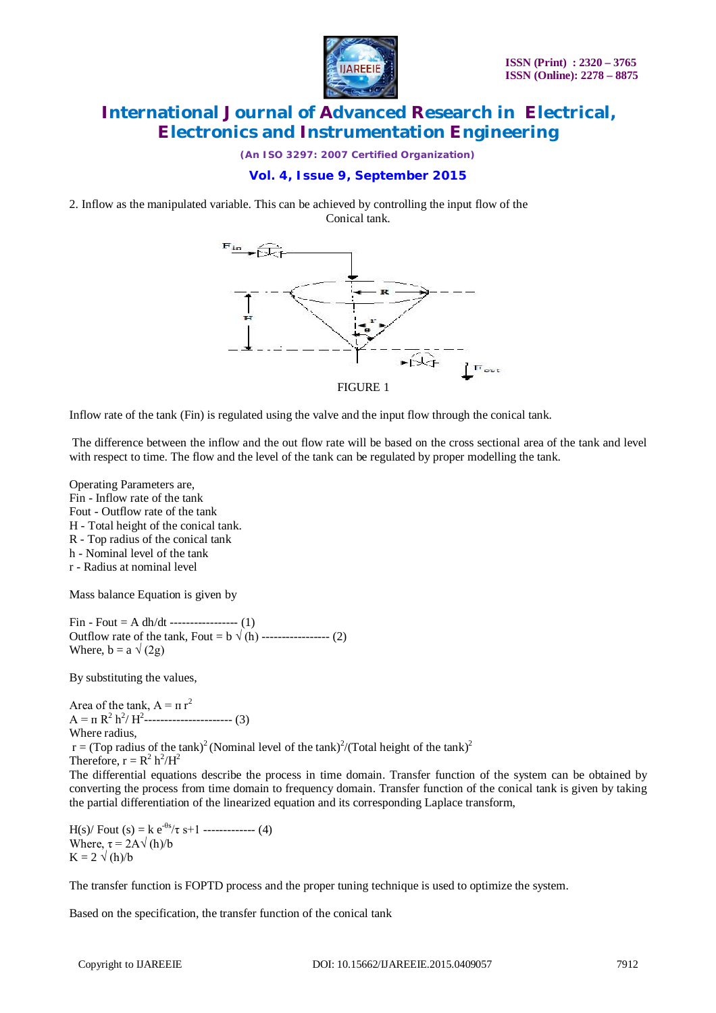

*(An ISO 3297: 2007 Certified Organization)*

# **Vol. 4, Issue 9, September 2015**

2. Inflow as the manipulated variable. This can be achieved by controlling the input flow of the Conical tank.



Inflow rate of the tank (Fin) is regulated using the valve and the input flow through the conical tank.

The difference between the inflow and the out flow rate will be based on the cross sectional area of the tank and level with respect to time. The flow and the level of the tank can be regulated by proper modelling the tank.

Operating Parameters are, Fin - Inflow rate of the tank Fout - Outflow rate of the tank H - Total height of the conical tank. R - Top radius of the conical tank h - Nominal level of the tank r - Radius at nominal level

Mass balance Equation is given by

 $Fin - Four = A dh/dt$  ----------------- (1) Outflow rate of the tank, Fout =  $b \sqrt{(h)}$  ----------------- (2) Where,  $b = a \sqrt{2g}$ 

By substituting the values,

Area of the tank,  $A = \pi r^2$  $A = \pi R^2 h^2/H^2$ ----------------------- (3) Where radius,  $r = (Top \ radius \ of \ the \ tank)^2 (Nominal \ level \ of \ the \ tank)^2/(Total \ height \ of \ the \ tank)^2$ Therefore,  $r = R^2 h^2/H^2$ The differential equations describe the process in time domain. Transfer function of the system can be obtained by converting the process from time domain to frequency domain. Transfer function of the conical tank is given by taking the partial differentiation of the linearized equation and its corresponding Laplace transform,

H(s)/ Fout (s) = k  $e^{-\theta s}/\tau$  s+1 -------------- (4) Where,  $\tau = 2A\sqrt{\frac{h}{b}}$  $K = 2 \sqrt{(h)/b}$ 

The transfer function is FOPTD process and the proper tuning technique is used to optimize the system.

Based on the specification, the transfer function of the conical tank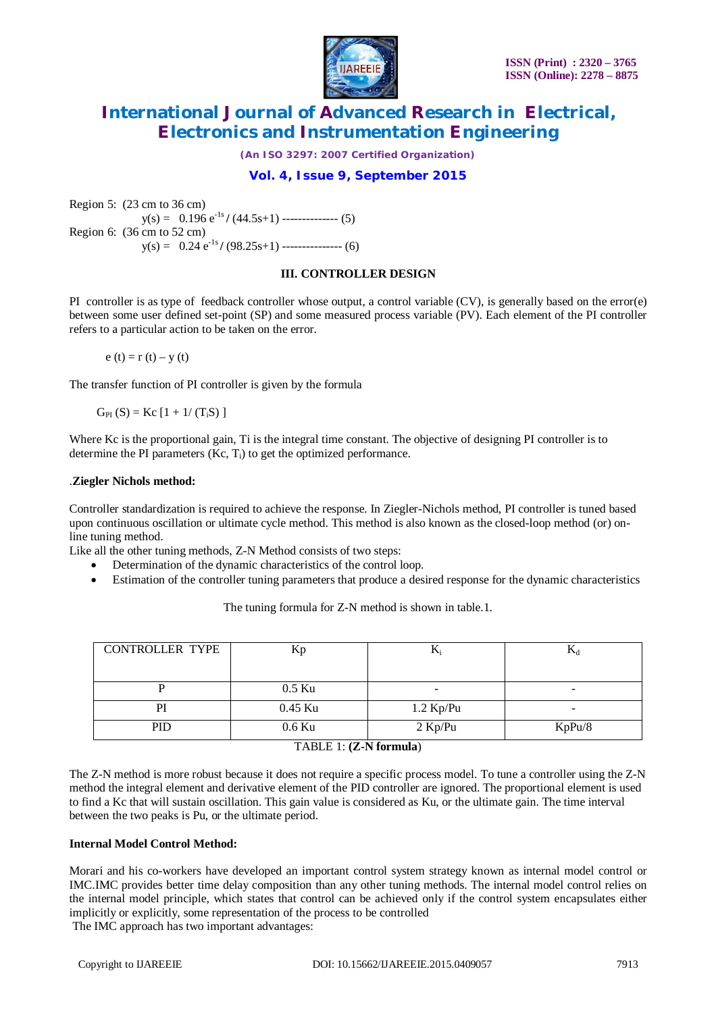

*(An ISO 3297: 2007 Certified Organization)*

## **Vol. 4, Issue 9, September 2015**

Region 5: (23 cm to 36 cm)  $y(s) = 0.196 e^{-1s} / (44.5s+1)$  -------------- (5) Region 6: (36 cm to 52 cm)  $y(s) = 0.24 e^{-1s} / (98.25s+1)$  ---------------- (6)

### **III. CONTROLLER DESIGN**

PI controller is as type of feedback controller whose output, a control variable (CV), is generally based on the error(e) between some user defined set-point (SP) and some measured process variable (PV). Each element of the PI controller refers to a particular action to be taken on the error.

 $e(t) = r(t) - y(t)$ 

The transfer function of PI controller is given by the formula

 $G_{PI}(S) = Kc [1 + 1/(T<sub>i</sub>S)]$ 

Where Kc is the proportional gain, Ti is the integral time constant. The objective of designing PI controller is to determine the PI parameters  $(Kc, T<sub>i</sub>)$  to get the optimized performance.

### .**Ziegler Nichols method:**

Controller standardization is required to achieve the response. In Ziegler-Nichols method, PI controller is tuned based upon continuous oscillation or ultimate cycle method. This method is also known as the closed-loop method (or) online tuning method.

Like all the other tuning methods, Z-N Method consists of two steps:

- Determination of the dynamic characteristics of the control loop.
- Estimation of the controller tuning parameters that produce a desired response for the dynamic characteristics

The tuning formula for Z-N method is shown in table.1.

| <b>CONTROLLER TYPE</b>           | Kp       | Δ,                       | 174    |  |
|----------------------------------|----------|--------------------------|--------|--|
|                                  |          |                          |        |  |
|                                  | $0.5$ Ku | $\overline{\phantom{0}}$ |        |  |
| PI                               | 0.45 Ku  | $1.2$ Kp/Pu              |        |  |
| <b>PID</b>                       | $0.6$ Ku | $2$ Kp/Pu                | KpPu/8 |  |
| $T \wedge R$ E 1. (7. N formula) |          |                          |        |  |

#### TABLE 1: **(Z-N formula**)

The Z-N method is more robust because it does not require a specific process model. To tune a controller using the Z-N method the integral element and derivative element of the PID controller are ignored. The proportional element is used to find a Kc that will sustain oscillation. This gain value is considered as Ku, or the ultimate gain. The time interval between the two peaks is Pu, or the ultimate period.

### **Internal Model Control Method:**

Morari and his co-workers have developed an important control system strategy known as internal model control or IMC.IMC provides better time delay composition than any other tuning methods. The internal model control relies on the internal model principle, which states that control can be achieved only if the control system encapsulates either implicitly or explicitly, some representation of the process to be controlled The IMC approach has two important advantages: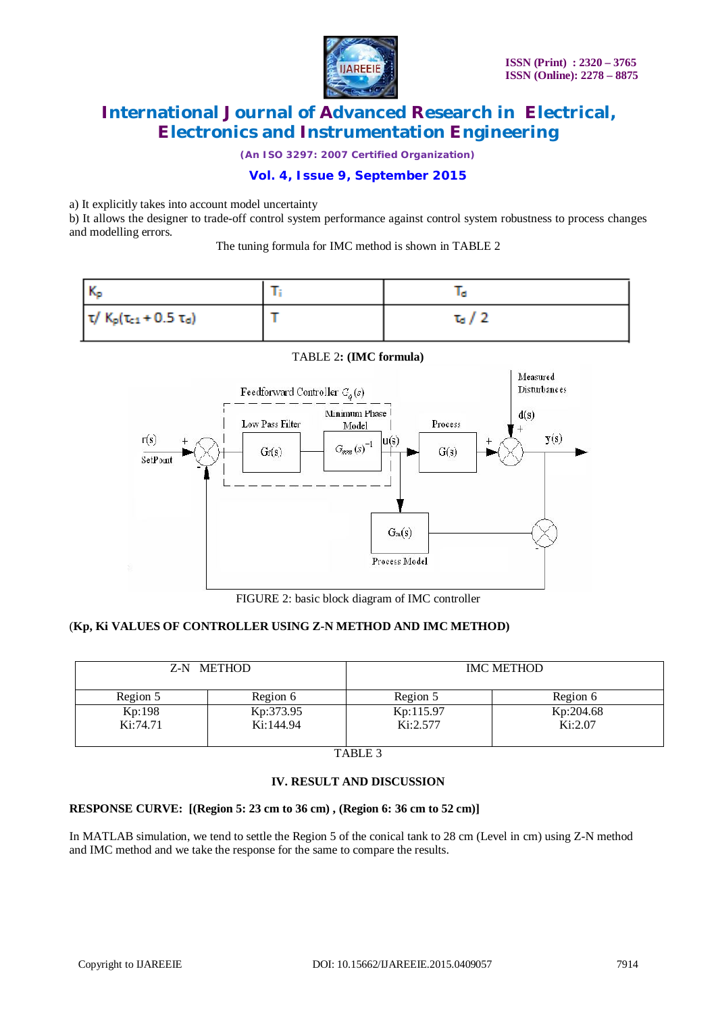

*(An ISO 3297: 2007 Certified Organization)*

# **Vol. 4, Issue 9, September 2015**

a) It explicitly takes into account model uncertainty

b) It allows the designer to trade-off control system performance against control system robustness to process changes and modelling errors.

The tuning formula for IMC method is shown in TABLE 2





TABLE 2**: (IMC formula)**

FIGURE 2: basic block diagram of IMC controller

### (**Kp, Ki VALUES OF CONTROLLER USING Z-N METHOD AND IMC METHOD)**

| Z-N METHOD |           | <b>IMC METHOD</b> |           |  |
|------------|-----------|-------------------|-----------|--|
| Region 5   | Region 6  | Region 5          | Region 6  |  |
| Kp:198     | Kp:373.95 | Kp:115.97         | Kp:204.68 |  |
| Ki:74.71   | Ki:144.94 | Ki:2.577          | Ki:2.07   |  |

TABLE 3

### **IV. RESULT AND DISCUSSION**

### **RESPONSE CURVE: [(Region 5: 23 cm to 36 cm) , (Region 6: 36 cm to 52 cm)]**

In MATLAB simulation, we tend to settle the Region 5 of the conical tank to 28 cm (Level in cm) using Z-N method and IMC method and we take the response for the same to compare the results.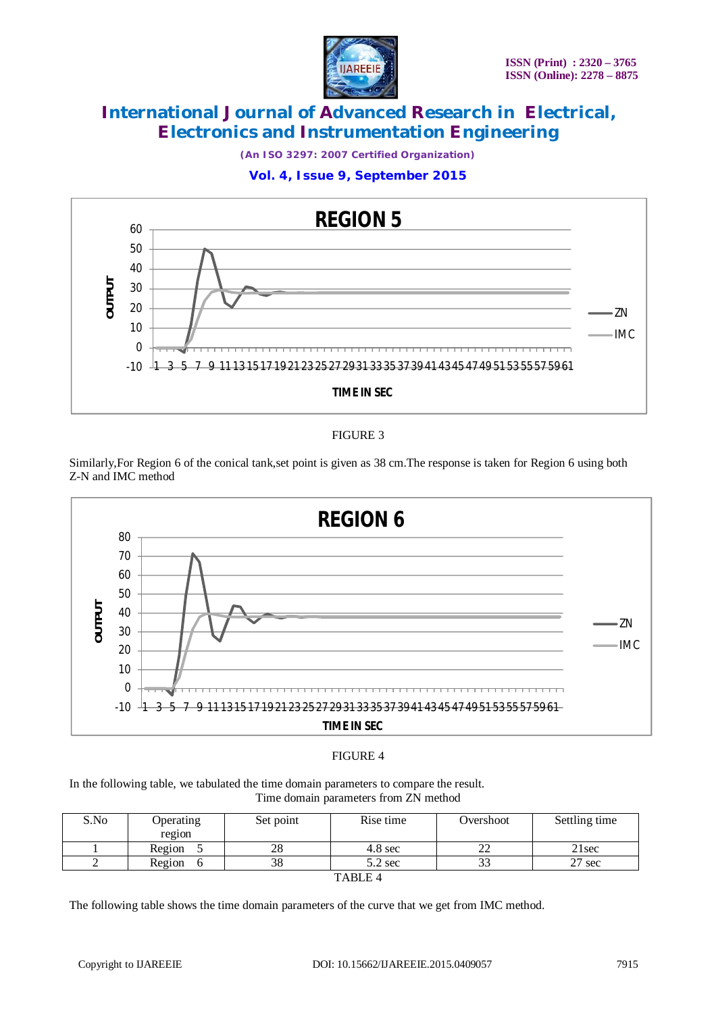

*(An ISO 3297: 2007 Certified Organization)*

### **Vol. 4, Issue 9, September 2015**



FIGURE 3

Similarly,For Region 6 of the conical tank,set point is given as 38 cm.The response is taken for Region 6 using both Z-N and IMC method



### FIGURE 4

In the following table, we tabulated the time domain parameters to compare the result. Time domain parameters from ZN method

| S.No                 | <b>Operating</b><br>region | Set point | Rise time         | Overshoot    | Settling time    |
|----------------------|----------------------------|-----------|-------------------|--------------|------------------|
|                      | Region                     | ററ<br>20  | $4.8 \text{ sec}$ | $\cap$<br>∠∠ | 21sec            |
|                      | Region                     | 38        | $5.2$ sec         | $\sim$<br>33 | $27 \text{ sec}$ |
| T <sub>1</sub> T T T |                            |           |                   |              |                  |

| ВI<br>` |  |
|---------|--|
|---------|--|

The following table shows the time domain parameters of the curve that we get from IMC method.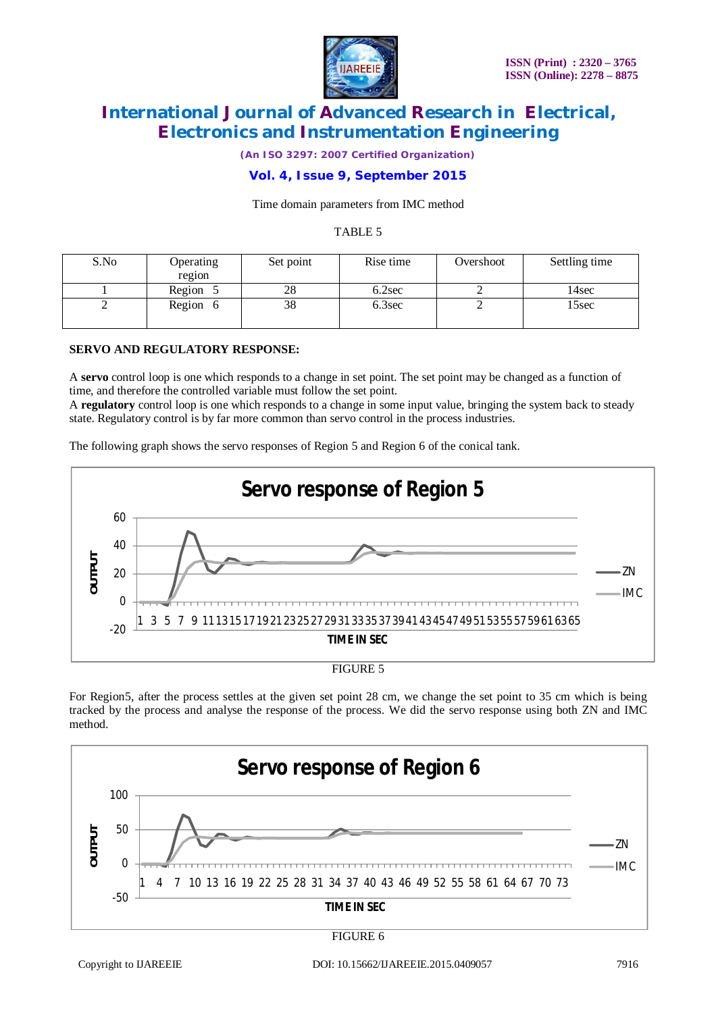

*(An ISO 3297: 2007 Certified Organization)*

# **Vol. 4, Issue 9, September 2015**

#### Time domain parameters from IMC method

#### TABLE 5

| S.No | <b>Operating</b><br>region | Set point | Rise time | Overshoot | Settling time |
|------|----------------------------|-----------|-----------|-----------|---------------|
|      | Region 5                   | 28        | 6.2sec    |           | 14sec         |
| ∽    | Region 6                   | 38        | 6.3sec    |           | 15sec         |

#### **SERVO AND REGULATORY RESPONSE:**

A **servo** control loop is one which responds to a change in set point. The set point may be changed as a function of time, and therefore the controlled variable must follow the set point.

A **regulatory** control loop is one which responds to a change in some input value, bringing the system back to steady state. Regulatory control is by far more common than servo control in the process industries.

The following graph shows the servo responses of Region 5 and Region 6 of the conical tank.



For Region5, after the process settles at the given set point 28 cm, we change the set point to 35 cm which is being tracked by the process and analyse the response of the process. We did the servo response using both ZN and IMC method.

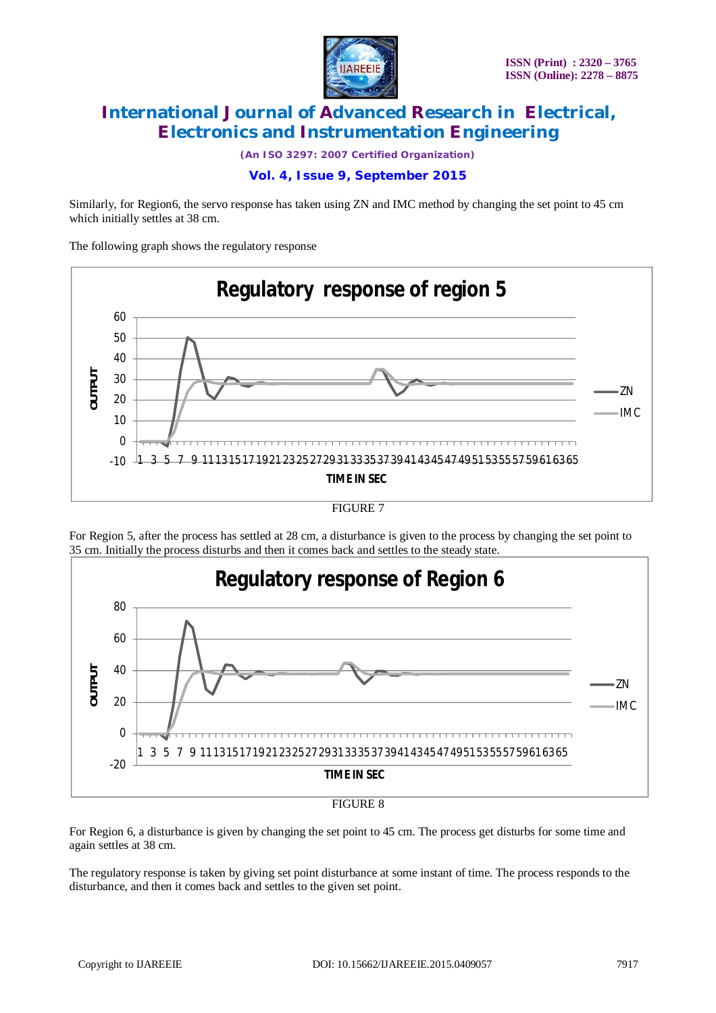

*(An ISO 3297: 2007 Certified Organization)*

### **Vol. 4, Issue 9, September 2015**

Similarly, for Region6, the servo response has taken using ZN and IMC method by changing the set point to 45 cm which initially settles at 38 cm.

The following graph shows the regulatory response





For Region 5, after the process has settled at 28 cm, a disturbance is given to the process by changing the set point to 35 cm. Initially the process disturbs and then it comes back and settles to the steady state.





For Region 6, a disturbance is given by changing the set point to 45 cm. The process get disturbs for some time and again settles at 38 cm.

The regulatory response is taken by giving set point disturbance at some instant of time. The process responds to the disturbance, and then it comes back and settles to the given set point.